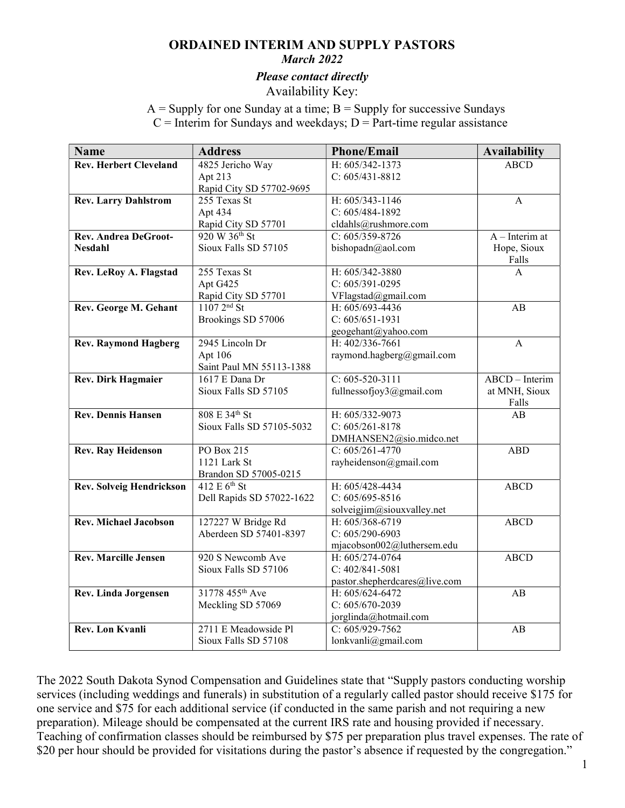## ORDAINED INTERIM AND SUPPLY PASTORS

#### March 2022

Please contact directly

Availability Key:

 $A =$  Supply for one Sunday at a time;  $B =$  Supply for successive Sundays  $C =$  Interim for Sundays and weekdays;  $D =$  Part-time regular assistance

| <b>Name</b>                     | <b>Address</b>                     | <b>Phone/Email</b>            | <b>Availability</b> |
|---------------------------------|------------------------------------|-------------------------------|---------------------|
| <b>Rev. Herbert Cleveland</b>   | 4825 Jericho Way                   | H: 605/342-1373               | <b>ABCD</b>         |
|                                 | Apt 213                            | $C: 605/431 - 8812$           |                     |
|                                 | Rapid City SD 57702-9695           |                               |                     |
| <b>Rev. Larry Dahlstrom</b>     | 255 Texas St                       | H: 605/343-1146               | A                   |
|                                 | Apt 434                            | $C: 605/484-1892$             |                     |
|                                 | Rapid City SD 57701                | cldahls@rushmore.com          |                     |
| <b>Rev. Andrea DeGroot-</b>     | $920 W 36^{th}$ St                 | $C: 605/359 - 8726$           | $A$ – Interim at    |
| <b>Nesdahl</b>                  | Sioux Falls SD 57105               | bishopadn@aol.com             | Hope, Sioux         |
|                                 |                                    |                               | Falls               |
| Rev. LeRoy A. Flagstad          | 255 Texas St                       | H: 605/342-3880               | $\mathsf{A}$        |
|                                 | Apt G425                           | $C: 605/391 - 0295$           |                     |
|                                 | Rapid City SD 57701                | VFlagstad@gmail.com           |                     |
| Rev. George M. Gehant           | $\frac{11072^{nd}}{11072^{nd}}$ St | H: 605/693-4436               | AB                  |
|                                 | Brookings SD 57006                 | $C: 605/651-1931$             |                     |
|                                 |                                    | geogehant@yahoo.com           |                     |
| <b>Rev. Raymond Hagberg</b>     | 2945 Lincoln Dr                    | H: 402/336-7661               | A                   |
|                                 | Apt 106                            | raymond.hagberg@gmail.com     |                     |
|                                 | Saint Paul MN 55113-1388           |                               |                     |
| Rev. Dirk Hagmaier              | 1617 E Dana Dr                     | $C: 605 - 520 - 3111$         | ABCD - Interim      |
|                                 | Sioux Falls SD 57105               | fullnessofjoy3@gmail.com      | at MNH, Sioux       |
|                                 |                                    |                               | Falls               |
| <b>Rev. Dennis Hansen</b>       | 808 E 34th St                      | H: 605/332-9073               | AB                  |
|                                 | Sioux Falls SD 57105-5032          | $C: 605/261 - 8178$           |                     |
|                                 |                                    | DMHANSEN2@sio.midco.net       |                     |
| Rev. Ray Heidenson              | PO Box 215                         | $C: 605/261-4770$             | <b>ABD</b>          |
|                                 | 1121 Lark St                       | rayheidenson@gmail.com        |                     |
|                                 | Brandon SD 57005-0215              |                               |                     |
| <b>Rev. Solveig Hendrickson</b> | 412 E 6 <sup>th</sup> St           | H: 605/428-4434               | <b>ABCD</b>         |
|                                 | Dell Rapids SD 57022-1622          | $C: 605/695 - 8516$           |                     |
|                                 |                                    | solveigjim@siouxvalley.net    |                     |
| Rev. Michael Jacobson           | 127227 W Bridge Rd                 | H: 605/368-6719               | <b>ABCD</b>         |
|                                 | Aberdeen SD 57401-8397             | $C: 605/290-6903$             |                     |
|                                 |                                    | mjacobson002@luthersem.edu    |                     |
| <b>Rev. Marcille Jensen</b>     | 920 S Newcomb Ave                  | H: 605/274-0764               | <b>ABCD</b>         |
|                                 | Sioux Falls SD 57106               | $C: 402/841 - 5081$           |                     |
|                                 |                                    | pastor.shepherdcares@live.com |                     |
| Rev. Linda Jorgensen            | 31778 455 <sup>th</sup> Ave        | H: 605/624-6472               | AB                  |
|                                 | Meckling SD 57069                  | $C: 605/670-2039$             |                     |
|                                 |                                    | jorglinda@hotmail.com         |                     |
| <b>Rev. Lon Kvanli</b>          | 2711 E Meadowside Pl               | C: $605/929-7562$             | AB                  |
|                                 | Sioux Falls SD 57108               | lonkvanli@gmail.com           |                     |

The 2022 South Dakota Synod Compensation and Guidelines state that "Supply pastors conducting worship services (including weddings and funerals) in substitution of a regularly called pastor should receive \$175 for one service and \$75 for each additional service (if conducted in the same parish and not requiring a new preparation). Mileage should be compensated at the current IRS rate and housing provided if necessary. Teaching of confirmation classes should be reimbursed by \$75 per preparation plus travel expenses. The rate of \$20 per hour should be provided for visitations during the pastor's absence if requested by the congregation."